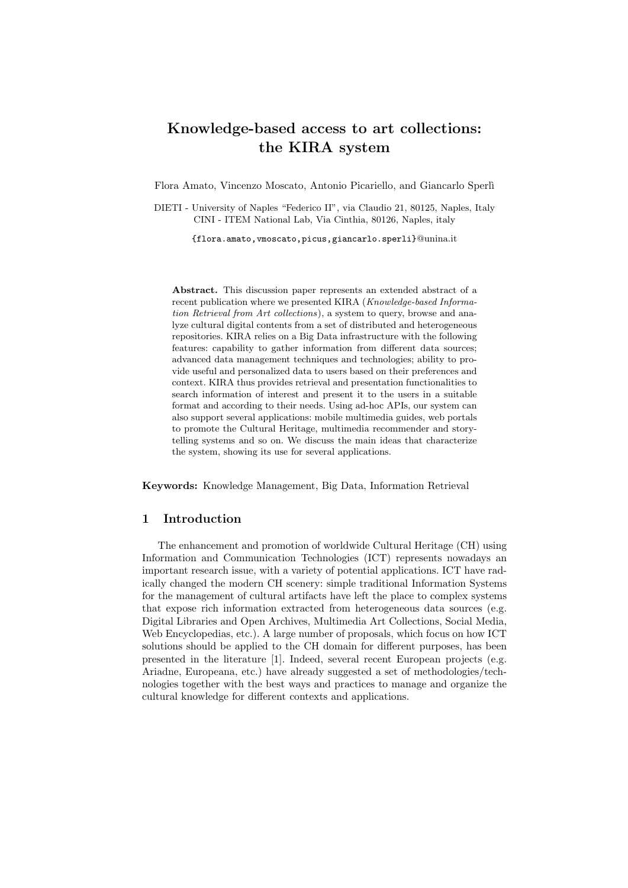# Knowledge-based access to art collections: the KIRA system

Flora Amato, Vincenzo Moscato, Antonio Picariello, and Giancarlo Sperl`ı

DIETI - University of Naples "Federico II", via Claudio 21, 80125, Naples, Italy CINI - ITEM National Lab, Via Cinthia, 80126, Naples, italy

{flora.amato,vmoscato,picus,giancarlo.sperli}@unina.it

Abstract. This discussion paper represents an extended abstract of a recent publication where we presented KIRA (Knowledge-based Information Retrieval from Art collections), a system to query, browse and analyze cultural digital contents from a set of distributed and heterogeneous repositories. KIRA relies on a Big Data infrastructure with the following features: capability to gather information from different data sources; advanced data management techniques and technologies; ability to provide useful and personalized data to users based on their preferences and context. KIRA thus provides retrieval and presentation functionalities to search information of interest and present it to the users in a suitable format and according to their needs. Using ad-hoc APIs, our system can also support several applications: mobile multimedia guides, web portals to promote the Cultural Heritage, multimedia recommender and storytelling systems and so on. We discuss the main ideas that characterize the system, showing its use for several applications.

Keywords: Knowledge Management, Big Data, Information Retrieval

### 1 Introduction

The enhancement and promotion of worldwide Cultural Heritage (CH) using Information and Communication Technologies (ICT) represents nowadays an important research issue, with a variety of potential applications. ICT have radically changed the modern CH scenery: simple traditional Information Systems for the management of cultural artifacts have left the place to complex systems that expose rich information extracted from heterogeneous data sources (e.g. Digital Libraries and Open Archives, Multimedia Art Collections, Social Media, Web Encyclopedias, etc.). A large number of proposals, which focus on how ICT solutions should be applied to the CH domain for different purposes, has been presented in the literature [1]. Indeed, several recent European projects (e.g. Ariadne, Europeana, etc.) have already suggested a set of methodologies/technologies together with the best ways and practices to manage and organize the cultural knowledge for different contexts and applications.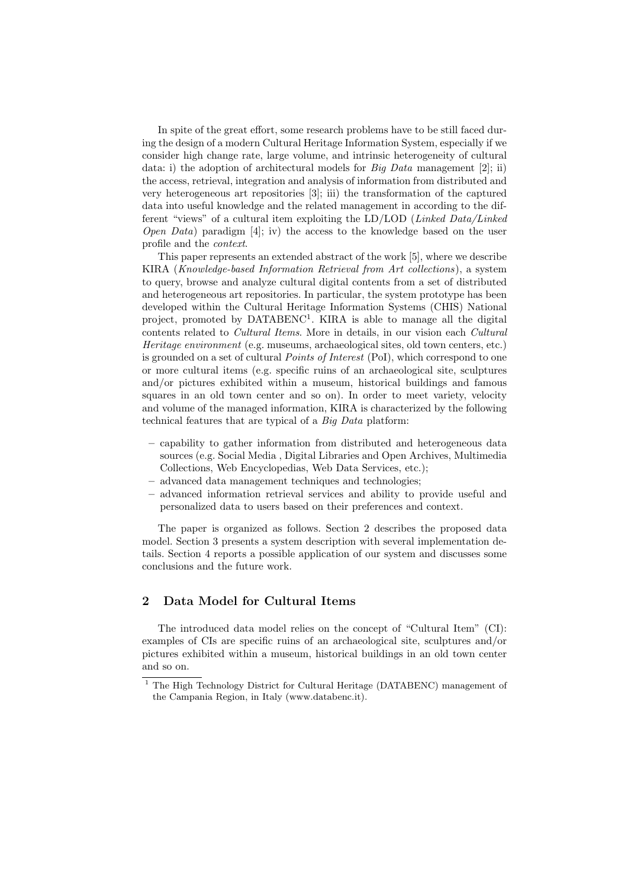In spite of the great effort, some research problems have to be still faced during the design of a modern Cultural Heritage Information System, especially if we consider high change rate, large volume, and intrinsic heterogeneity of cultural data: i) the adoption of architectural models for  $Big Data$  management [2]; ii) the access, retrieval, integration and analysis of information from distributed and very heterogeneous art repositories [3]; iii) the transformation of the captured data into useful knowledge and the related management in according to the different "views" of a cultural item exploiting the LD/LOD (Linked Data/Linked *Open Data*) paradigm  $[4]$ ; iv) the access to the knowledge based on the user profile and the context.

This paper represents an extended abstract of the work [5], where we describe KIRA (Knowledge-based Information Retrieval from Art collections), a system to query, browse and analyze cultural digital contents from a set of distributed and heterogeneous art repositories. In particular, the system prototype has been developed within the Cultural Heritage Information Systems (CHIS) National project, promoted by DATABENC<sup>1</sup>. KIRA is able to manage all the digital contents related to *Cultural Items*. More in details, in our vision each *Cultural* Heritage environment (e.g. museums, archaeological sites, old town centers, etc.) is grounded on a set of cultural *Points of Interest* (PoI), which correspond to one or more cultural items (e.g. specific ruins of an archaeological site, sculptures and/or pictures exhibited within a museum, historical buildings and famous squares in an old town center and so on). In order to meet variety, velocity and volume of the managed information, KIRA is characterized by the following technical features that are typical of a Big Data platform:

- capability to gather information from distributed and heterogeneous data sources (e.g. Social Media , Digital Libraries and Open Archives, Multimedia Collections, Web Encyclopedias, Web Data Services, etc.);
- advanced data management techniques and technologies;
- advanced information retrieval services and ability to provide useful and personalized data to users based on their preferences and context.

The paper is organized as follows. Section 2 describes the proposed data model. Section 3 presents a system description with several implementation details. Section 4 reports a possible application of our system and discusses some conclusions and the future work.

## 2 Data Model for Cultural Items

The introduced data model relies on the concept of "Cultural Item" (CI): examples of CIs are specific ruins of an archaeological site, sculptures and/or pictures exhibited within a museum, historical buildings in an old town center and so on.

<sup>&</sup>lt;sup>1</sup> The High Technology District for Cultural Heritage (DATABENC) management of the Campania Region, in Italy (www.databenc.it).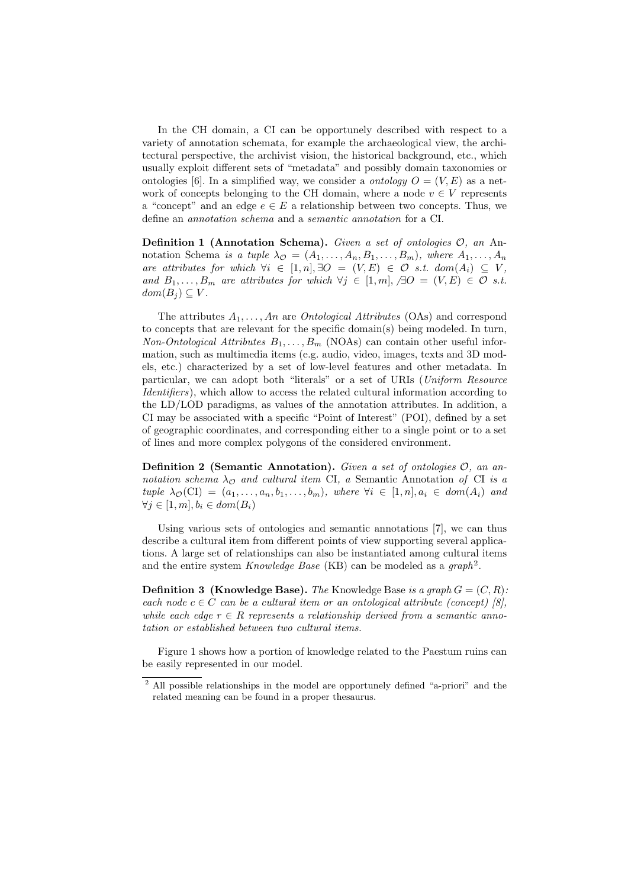In the CH domain, a CI can be opportunely described with respect to a variety of annotation schemata, for example the archaeological view, the architectural perspective, the archivist vision, the historical background, etc., which usually exploit different sets of "metadata" and possibly domain taxonomies or ontologies [6]. In a simplified way, we consider a *ontology*  $O = (V, E)$  as a network of concepts belonging to the CH domain, where a node  $v \in V$  represents a "concept" and an edge  $e \in E$  a relationship between two concepts. Thus, we define an annotation schema and a semantic annotation for a CI.

**Definition 1 (Annotation Schema).** Given a set of ontologies  $\mathcal{O}$ , an Annotation Schema is a tuple  $\lambda_{\mathcal{O}} = (A_1, \ldots, A_n, B_1, \ldots, B_m)$ , where  $A_1, \ldots, A_n$ are attributes for which  $\forall i \in [1, n], \exists O = (V, E) \in O \text{ s.t. } dom(A_i) \subseteq V$ , and  $B_1, \ldots, B_m$  are attributes for which  $\forall j \in [1, m], \forall O = (V, E) \in \mathcal{O}$  s.t.  $dom(B_i) \subseteq V$ .

The attributes  $A_1, \ldots, An$  are *Ontological Attributes* (OAs) and correspond to concepts that are relevant for the specific domain(s) being modeled. In turn, Non-Ontological Attributes  $B_1, \ldots, B_m$  (NOAs) can contain other useful information, such as multimedia items (e.g. audio, video, images, texts and 3D models, etc.) characterized by a set of low-level features and other metadata. In particular, we can adopt both "literals" or a set of URIs (Uniform Resource Identifiers), which allow to access the related cultural information according to the LD/LOD paradigms, as values of the annotation attributes. In addition, a CI may be associated with a specific "Point of Interest" (POI), defined by a set of geographic coordinates, and corresponding either to a single point or to a set of lines and more complex polygons of the considered environment.

**Definition 2 (Semantic Annotation).** Given a set of ontologies  $\mathcal{O}$ , an annotation schema  $\lambda_{\mathcal{O}}$  and cultural item CI, a Semantic Annotation of CI is a tuple  $\lambda_{\mathcal{O}}(CI) = (a_1, \ldots, a_n, b_1, \ldots, b_m)$ , where  $\forall i \in [1, n], a_i \in dom(A_i)$  and  $\forall j \in [1, m], b_i \in dom(B_i)$ 

Using various sets of ontologies and semantic annotations [7], we can thus describe a cultural item from different points of view supporting several applications. A large set of relationships can also be instantiated among cultural items and the entire system  $Knowledge$   $Base$  (KB) can be modeled as a  $graph<sup>2</sup>$ .

**Definition 3 (Knowledge Base).** The Knowledge Base is a graph  $G = (C, R)$ : each node  $c \in C$  can be a cultural item or an ontological attribute (concept) [8], while each edge  $r \in R$  represents a relationship derived from a semantic annotation or established between two cultural items.

Figure 1 shows how a portion of knowledge related to the Paestum ruins can be easily represented in our model.

<sup>&</sup>lt;sup>2</sup> All possible relationships in the model are opportunely defined "a-priori" and the related meaning can be found in a proper thesaurus.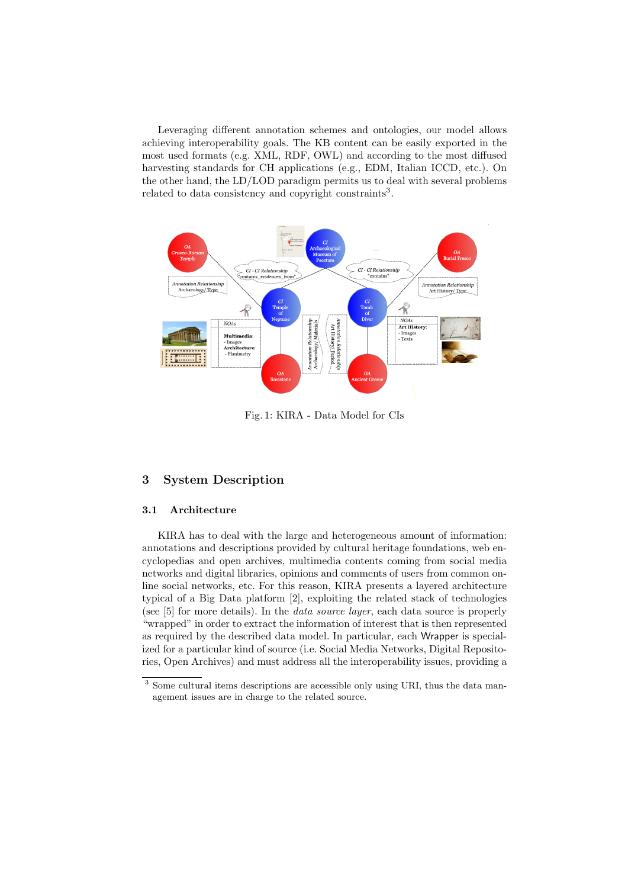Leveraging different annotation schemes and ontologies, our model allows achieving interoperability goals. The KB content can be easily exported in the most used formats (e.g. XML, RDF, OWL) and according to the most diffused harvesting standards for CH applications (e.g., EDM, Italian ICCD, etc.). On the other hand, the LD/LOD paradigm permits us to deal with several problems related to data consistency and copyright constraints<sup>3</sup>.



Fig. 1: KIRA - Data Model for CIs

# 3 System Description

#### 3.1 Architecture

KIRA has to deal with the large and heterogeneous amount of information: annotations and descriptions provided by cultural heritage foundations, web encyclopedias and open archives, multimedia contents coming from social media networks and digital libraries, opinions and comments of users from common online social networks, etc. For this reason, KIRA presents a layered architecture typical of a Big Data platform [2], exploiting the related stack of technologies (see [5] for more details). In the data source layer, each data source is properly "wrapped" in order to extract the information of interest that is then represented as required by the described data model. In particular, each Wrapper is specialized for a particular kind of source (i.e. Social Media Networks, Digital Repositories, Open Archives) and must address all the interoperability issues, providing a

<sup>3</sup> Some cultural items descriptions are accessible only using URI, thus the data management issues are in charge to the related source.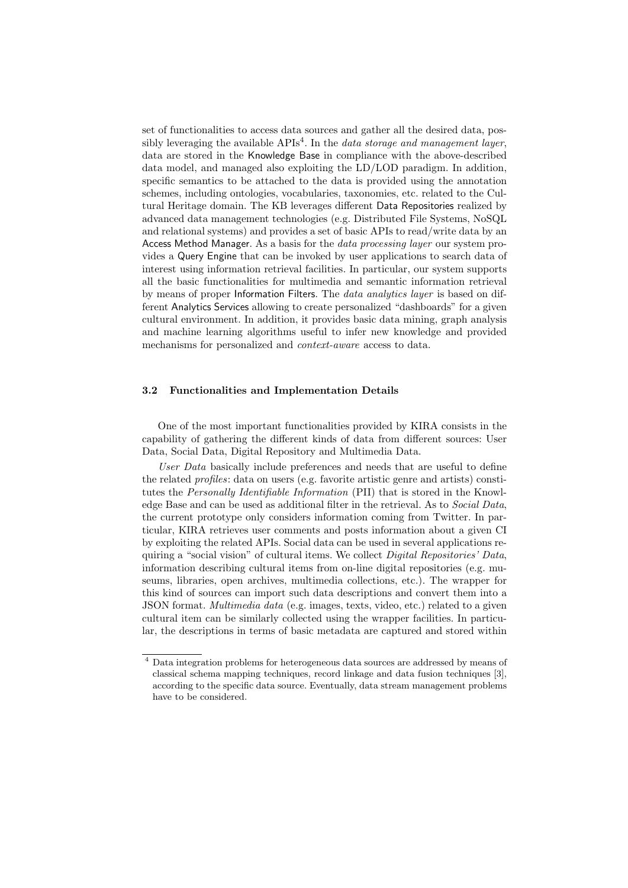set of functionalities to access data sources and gather all the desired data, possibly leveraging the available  $APIs<sup>4</sup>$ . In the *data storage and management layer*, data are stored in the Knowledge Base in compliance with the above-described data model, and managed also exploiting the LD/LOD paradigm. In addition, specific semantics to be attached to the data is provided using the annotation schemes, including ontologies, vocabularies, taxonomies, etc. related to the Cultural Heritage domain. The KB leverages different Data Repositories realized by advanced data management technologies (e.g. Distributed File Systems, NoSQL and relational systems) and provides a set of basic APIs to read/write data by an Access Method Manager. As a basis for the *data processing layer* our system provides a Query Engine that can be invoked by user applications to search data of interest using information retrieval facilities. In particular, our system supports all the basic functionalities for multimedia and semantic information retrieval by means of proper Information Filters. The data analytics layer is based on different Analytics Services allowing to create personalized "dashboards" for a given cultural environment. In addition, it provides basic data mining, graph analysis and machine learning algorithms useful to infer new knowledge and provided mechanisms for personalized and context-aware access to data.

#### 3.2 Functionalities and Implementation Details

One of the most important functionalities provided by KIRA consists in the capability of gathering the different kinds of data from different sources: User Data, Social Data, Digital Repository and Multimedia Data.

User Data basically include preferences and needs that are useful to define the related profiles: data on users (e.g. favorite artistic genre and artists) constitutes the Personally Identifiable Information (PII) that is stored in the Knowledge Base and can be used as additional filter in the retrieval. As to Social Data, the current prototype only considers information coming from Twitter. In particular, KIRA retrieves user comments and posts information about a given CI by exploiting the related APIs. Social data can be used in several applications requiring a "social vision" of cultural items. We collect *Digital Repositories' Data*, information describing cultural items from on-line digital repositories (e.g. museums, libraries, open archives, multimedia collections, etc.). The wrapper for this kind of sources can import such data descriptions and convert them into a JSON format. Multimedia data (e.g. images, texts, video, etc.) related to a given cultural item can be similarly collected using the wrapper facilities. In particular, the descriptions in terms of basic metadata are captured and stored within

 $^4$  Data integration problems for heterogeneous data sources are addressed by means of classical schema mapping techniques, record linkage and data fusion techniques [3], according to the specific data source. Eventually, data stream management problems have to be considered.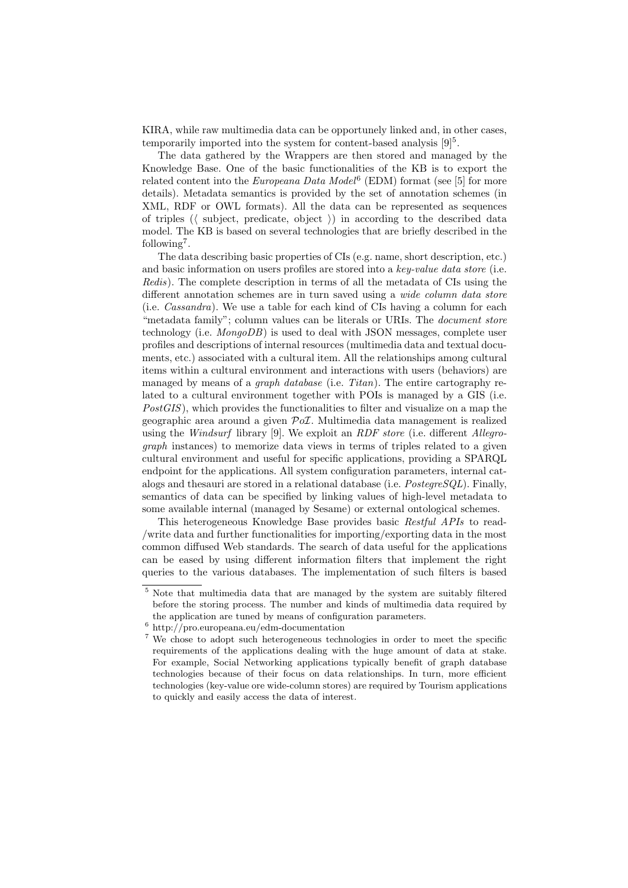KIRA, while raw multimedia data can be opportunely linked and, in other cases, temporarily imported into the system for content-based analysis  $[9]^5$ .

The data gathered by the Wrappers are then stored and managed by the Knowledge Base. One of the basic functionalities of the KB is to export the related content into the *Europeana Data Model*<sup>6</sup> (EDM) format (see [5] for more details). Metadata semantics is provided by the set of annotation schemes (in XML, RDF or OWL formats). All the data can be represented as sequences of triples ( $\langle$  subject, predicate, object  $\rangle$ ) in according to the described data model. The KB is based on several technologies that are briefly described in the following<sup>7</sup>.

The data describing basic properties of CIs (e.g. name, short description, etc.) and basic information on users profiles are stored into a key-value data store (i.e. Redis). The complete description in terms of all the metadata of CIs using the different annotation schemes are in turn saved using a *wide column data store* (i.e. Cassandra). We use a table for each kind of CIs having a column for each "metadata family"; column values can be literals or URIs. The document store technology (i.e.  $MongoDB$ ) is used to deal with JSON messages, complete user profiles and descriptions of internal resources (multimedia data and textual documents, etc.) associated with a cultural item. All the relationships among cultural items within a cultural environment and interactions with users (behaviors) are managed by means of a *graph database* (i.e. *Titan*). The entire cartography related to a cultural environment together with POIs is managed by a GIS (i.e. PostGIS), which provides the functionalities to filter and visualize on a map the geographic area around a given  $PoZ$ . Multimedia data management is realized using the *Windsurf* library [9]. We exploit an *RDF store* (i.e. different *Allegro*graph instances) to memorize data views in terms of triples related to a given cultural environment and useful for specific applications, providing a SPARQL endpoint for the applications. All system configuration parameters, internal catalogs and thesauri are stored in a relational database (i.e.  $PostegreSQL$ ). Finally, semantics of data can be specified by linking values of high-level metadata to some available internal (managed by Sesame) or external ontological schemes.

This heterogeneous Knowledge Base provides basic Restful APIs to read- /write data and further functionalities for importing/exporting data in the most common diffused Web standards. The search of data useful for the applications can be eased by using different information filters that implement the right queries to the various databases. The implementation of such filters is based

<sup>5</sup> Note that multimedia data that are managed by the system are suitably filtered before the storing process. The number and kinds of multimedia data required by the application are tuned by means of configuration parameters.

 $^6$ http://pro.europeana.eu/edm-documentation

<sup>7</sup> We chose to adopt such heterogeneous technologies in order to meet the specific requirements of the applications dealing with the huge amount of data at stake. For example, Social Networking applications typically benefit of graph database technologies because of their focus on data relationships. In turn, more efficient technologies (key-value ore wide-column stores) are required by Tourism applications to quickly and easily access the data of interest.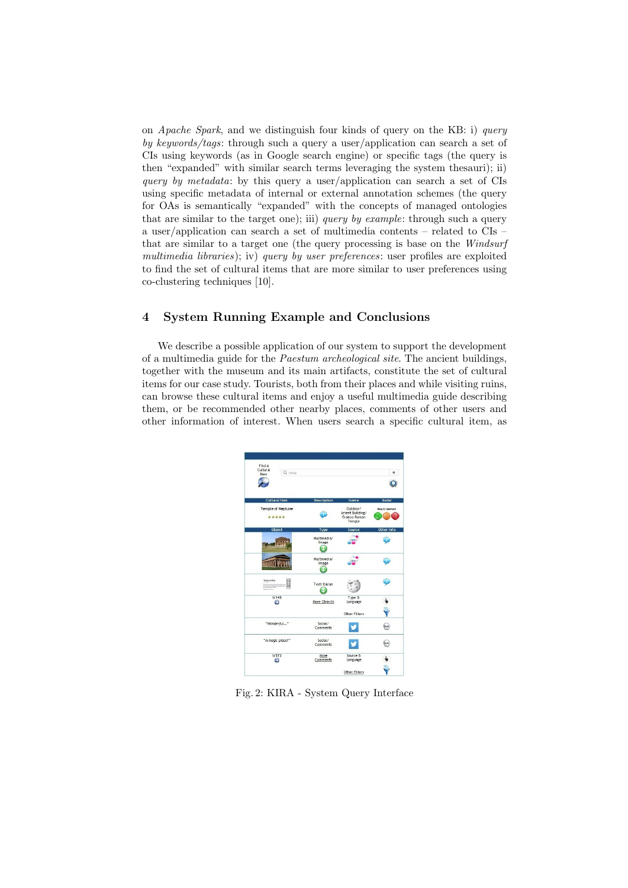on Apache Spark, and we distinguish four kinds of query on the KB: i) query by keywords/tags: through such a query a user/application can search a set of CIs using keywords (as in Google search engine) or specific tags (the query is then "expanded" with similar search terms leveraging the system thesauri); ii) query by metadata: by this query a user/application can search a set of CIs using specific metadata of internal or external annotation schemes (the query for OAs is semantically "expanded" with the concepts of managed ontologies that are similar to the target one); iii) *query by example*: through such a query a user/application can search a set of multimedia contents – related to CIs – that are similar to a target one (the query processing is base on the Windsurf multimedia libraries); iv) query by user preferences: user profiles are exploited to find the set of cultural items that are more similar to user preferences using co-clustering techniques [10].

# 4 System Running Example and Conclusions

We describe a possible application of our system to support the development of a multimedia guide for the Paestum archeological site. The ancient buildings, together with the museum and its main artifacts, constitute the set of cultural items for our case study. Tourists, both from their places and while visiting ruins, can browse these cultural items and enjoy a useful multimedia guide describing them, or be recommended other nearby places, comments of other users and other information of interest. When users search a specific cultural item, as

| Find a<br>Cultural<br>Q Cerca     |                             |                                                        | →                                |
|-----------------------------------|-----------------------------|--------------------------------------------------------|----------------------------------|
| Item                              |                             |                                                        |                                  |
| <b>Cultural Item</b>              | <b>Description</b>          | Genre                                                  | Social                           |
| <b>Temple of Neptune</b><br>***** |                             | Outdoor/<br>Acient Building/<br>Graeco-Roman<br>Temple | <b>Rate &amp; Comment</b><br>go. |
| Object                            | Type                        | Source                                                 | Other Info                       |
|                                   | Multimedia/<br>Image        | Flick                                                  |                                  |
|                                   | Multimedia/<br>Image<br>GT. | ranke <sup>-</sup>                                     |                                  |
| Tengo di Eta                      | Text/Italian                |                                                        |                                  |
| 1/145<br>e)                       | More Objects                | Type &<br>Language                                     |                                  |
|                                   |                             | Other Filters                                          |                                  |
| "Wonderful"                       | Social /<br>Comments        |                                                        | 60                               |
| "A magic place!"                  | Social /<br>Comments        |                                                        | (fart)                           |
| 1/573<br>€                        | More<br>Comments            | Source &<br>Language                                   |                                  |
|                                   |                             | Other Filters                                          |                                  |

Fig. 2: KIRA - System Query Interface